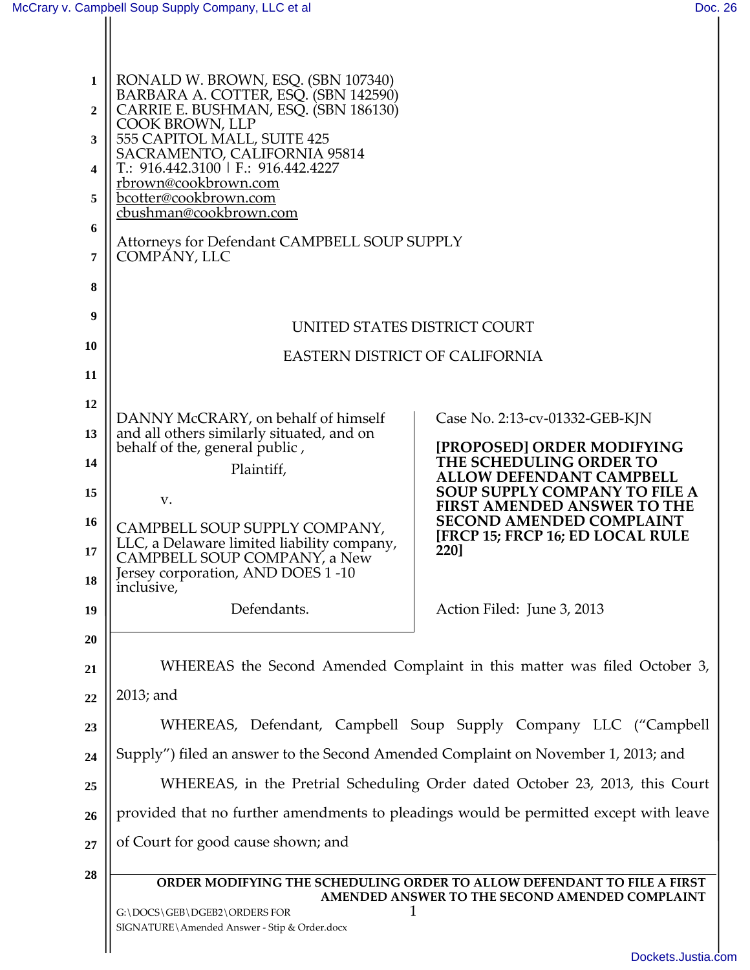| 1         | RONALD W. BROWN, ESQ. (SBN 107340)<br>BARBARA A. COTTER, ESQ. (SBN 142590)            |                                                                            |  |
|-----------|---------------------------------------------------------------------------------------|----------------------------------------------------------------------------|--|
| 2         | CARRIE E. BUSHMAN, ESQ. (SBN 186130)<br>COOK BROWN, LLP                               |                                                                            |  |
| 3         | 555 CAPITOL MALL, SUITE 425<br>SACRAMENTO, CALIFORNIA 95814                           |                                                                            |  |
| 4         | T.: 916.442.3100   F.: 916.442.4227<br>rbrown@cookbrown.com                           |                                                                            |  |
| 5         | bcotter@cookbrown.com<br>cbushman@cookbrown.com                                       |                                                                            |  |
| 6         | Attorneys for Defendant CAMPBELL SOUP SUPPLY                                          |                                                                            |  |
| 7         | COMPÁNY, LLC                                                                          |                                                                            |  |
| 8         |                                                                                       |                                                                            |  |
| 9         | UNITED STATES DISTRICT COURT                                                          |                                                                            |  |
| 10        | <b>EASTERN DISTRICT OF CALIFORNIA</b>                                                 |                                                                            |  |
| 11        |                                                                                       |                                                                            |  |
| 12        | DANNY McCRARY, on behalf of himself                                                   | Case No. 2:13-cv-01332-GEB-KJN                                             |  |
| 13        | and all others similarly situated, and on<br>behalf of the, general public,           | [PROPOSED] ORDER MODIFYING                                                 |  |
| 14        | Plaintiff,                                                                            | THE SCHEDULING ORDER TO<br><b>ALLOW DEFENDANT CAMPBELL</b>                 |  |
| 15        | V.                                                                                    | <b>SOUP SUPPLY COMPANY TO FILE A</b><br><b>FIRST AMENDED ANSWER TO THE</b> |  |
| <b>16</b> | CAMPBELL SOUP SUPPLY COMPANY,                                                         | <b>SECOND AMENDED COMPLAINT</b><br>[FRCP 15; FRCP 16; ED LOCAL RULE        |  |
| 17        | LLC, a Delaware limited liability company,<br>CAMPBELL SOUP COMPANY, a New            | 220]                                                                       |  |
| 18        | Jersey corporation, AND DOES 1-10<br>inclusive,                                       |                                                                            |  |
| 19        | Defendants.                                                                           | Action Filed: June 3, 2013                                                 |  |
| 20        |                                                                                       |                                                                            |  |
| 21        | WHEREAS the Second Amended Complaint in this matter was filed October 3,              |                                                                            |  |
| 22        | 2013; and                                                                             |                                                                            |  |
| 23        | WHEREAS, Defendant, Campbell Soup Supply Company LLC ("Campbell                       |                                                                            |  |
| 24        | Supply") filed an answer to the Second Amended Complaint on November 1, 2013; and     |                                                                            |  |
| 25        | WHEREAS, in the Pretrial Scheduling Order dated October 23, 2013, this Court          |                                                                            |  |
| 26        | provided that no further amendments to pleadings would be permitted except with leave |                                                                            |  |
| 27        | of Court for good cause shown; and                                                    |                                                                            |  |
| 28        | ORDER MODIFYING THE SCHEDULING ORDER TO ALLOW DEFENDANT TO FILE A FIRST               |                                                                            |  |
|           | G:\DOCS\GEB\DGEB2\ORDERS FOR<br>SIGNATURE\Amended Answer - Stip & Order.docx          | AMENDED ANSWER TO THE SECOND AMENDED COMPLAINT                             |  |